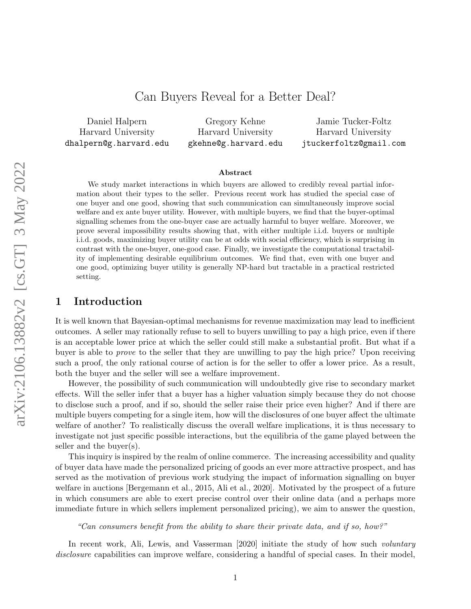# Can Buyers Reveal for a Better Deal?

Daniel Halpern Harvard University dhalpern@g.harvard.edu

Gregory Kehne Harvard University gkehne@g.harvard.edu

Jamie Tucker-Foltz Harvard University jtuckerfoltz@gmail.com

#### Abstract

We study market interactions in which buyers are allowed to credibly reveal partial information about their types to the seller. Previous recent work has studied the special case of one buyer and one good, showing that such communication can simultaneously improve social welfare and ex ante buyer utility. However, with multiple buyers, we find that the buyer-optimal signalling schemes from the one-buyer case are actually harmful to buyer welfare. Moreover, we prove several impossibility results showing that, with either multiple i.i.d. buyers or multiple i.i.d. goods, maximizing buyer utility can be at odds with social efficiency, which is surprising in contrast with the one-buyer, one-good case. Finally, we investigate the computational tractability of implementing desirable equilibrium outcomes. We find that, even with one buyer and one good, optimizing buyer utility is generally NP-hard but tractable in a practical restricted setting.

# 1 Introduction

It is well known that Bayesian-optimal mechanisms for revenue maximization may lead to inefficient outcomes. A seller may rationally refuse to sell to buyers unwilling to pay a high price, even if there is an acceptable lower price at which the seller could still make a substantial profit. But what if a buyer is able to prove to the seller that they are unwilling to pay the high price? Upon receiving such a proof, the only rational course of action is for the seller to offer a lower price. As a result, both the buyer and the seller will see a welfare improvement.

However, the possibility of such communication will undoubtedly give rise to secondary market effects. Will the seller infer that a buyer has a higher valuation simply because they do not choose to disclose such a proof, and if so, should the seller raise their price even higher? And if there are multiple buyers competing for a single item, how will the disclosures of one buyer affect the ultimate welfare of another? To realistically discuss the overall welfare implications, it is thus necessary to investigate not just specific possible interactions, but the equilibria of the game played between the seller and the buyer(s).

This inquiry is inspired by the realm of online commerce. The increasing accessibility and quality of buyer data have made the personalized pricing of goods an ever more attractive prospect, and has served as the motivation of previous work studying the impact of information signalling on buyer welfare in auctions [\[Bergemann et al., 2015,](#page-17-0) [Ali et al., 2020\]](#page-16-0). Motivated by the prospect of a future in which consumers are able to exert precise control over their online data (and a perhaps more immediate future in which sellers implement personalized pricing), we aim to answer the question,

### "Can consumers benefit from the ability to share their private data, and if so, how?"

In recent work, [Ali, Lewis, and Vasserman](#page-16-0) [\[2020\]](#page-16-0) initiate the study of how such *voluntary* disclosure capabilities can improve welfare, considering a handful of special cases. In their model,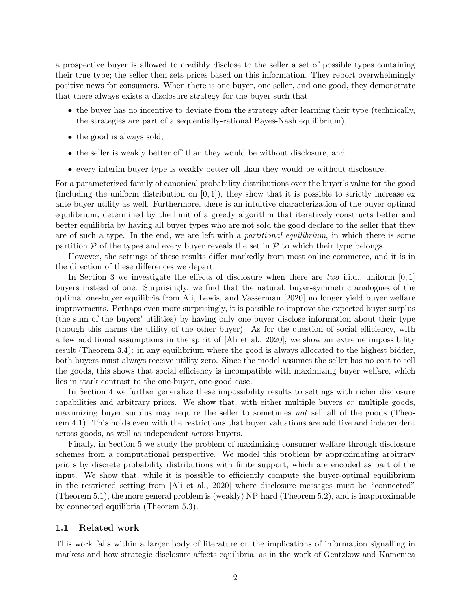a prospective buyer is allowed to credibly disclose to the seller a set of possible types containing their true type; the seller then sets prices based on this information. They report overwhelmingly positive news for consumers. When there is one buyer, one seller, and one good, they demonstrate that there always exists a disclosure strategy for the buyer such that

- the buyer has no incentive to deviate from the strategy after learning their type (technically, the strategies are part of a sequentially-rational Bayes-Nash equilibrium),
- the good is always sold,
- the seller is weakly better off than they would be without disclosure, and
- every interim buyer type is weakly better off than they would be without disclosure.

For a parameterized family of canonical probability distributions over the buyer's value for the good (including the uniform distribution on  $[0, 1]$ ), they show that it is possible to strictly increase ex ante buyer utility as well. Furthermore, there is an intuitive characterization of the buyer-optimal equilibrium, determined by the limit of a greedy algorithm that iteratively constructs better and better equilibria by having all buyer types who are not sold the good declare to the seller that they are of such a type. In the end, we are left with a *partitional equilibrium*, in which there is some partition  $P$  of the types and every buyer reveals the set in  $P$  to which their type belongs.

However, the settings of these results differ markedly from most online commerce, and it is in the direction of these differences we depart.

In Section [3](#page-4-0) we investigate the effects of disclosure when there are two i.i.d., uniform  $[0, 1]$ buyers instead of one. Surprisingly, we find that the natural, buyer-symmetric analogues of the optimal one-buyer equilibria from [Ali, Lewis, and Vasserman](#page-16-0) [\[2020\]](#page-16-0) no longer yield buyer welfare improvements. Perhaps even more surprisingly, it is possible to improve the expected buyer surplus (the sum of the buyers' utilities) by having only one buyer disclose information about their type (though this harms the utility of the other buyer). As for the question of social efficiency, with a few additional assumptions in the spirit of [\[Ali et al., 2020\]](#page-16-0), we show an extreme impossibility result (Theorem [3.4\)](#page-8-0): in any equilibrium where the good is always allocated to the highest bidder, both buyers must always receive utility zero. Since the model assumes the seller has no cost to sell the goods, this shows that social efficiency is incompatible with maximizing buyer welfare, which lies in stark contrast to the one-buyer, one-good case.

In Section [4](#page-9-0) we further generalize these impossibility results to settings with richer disclosure capabilities and arbitrary priors. We show that, with either multiple buyers or multiple goods, maximizing buyer surplus may require the seller to sometimes not sell all of the goods (Theorem [4.1\)](#page-9-1). This holds even with the restrictions that buyer valuations are additive and independent across goods, as well as independent across buyers.

Finally, in Section [5](#page-12-0) we study the problem of maximizing consumer welfare through disclosure schemes from a computational perspective. We model this problem by approximating arbitrary priors by discrete probability distributions with finite support, which are encoded as part of the input. We show that, while it is possible to efficiently compute the buyer-optimal equilibrium in the restricted setting from [\[Ali et al., 2020\]](#page-16-0) where disclosure messages must be "connected" (Theorem [5.1\)](#page-13-0), the more general problem is (weakly) NP-hard (Theorem [5.2\)](#page-14-0), and is inapproximable by connected equilibria (Theorem [5.3\)](#page-15-0).

### 1.1 Related work

This work falls within a larger body of literature on the implications of information signalling in markets and how strategic disclosure affects equilibria, as in the work of [Gentzkow and Kamenica](#page-17-1)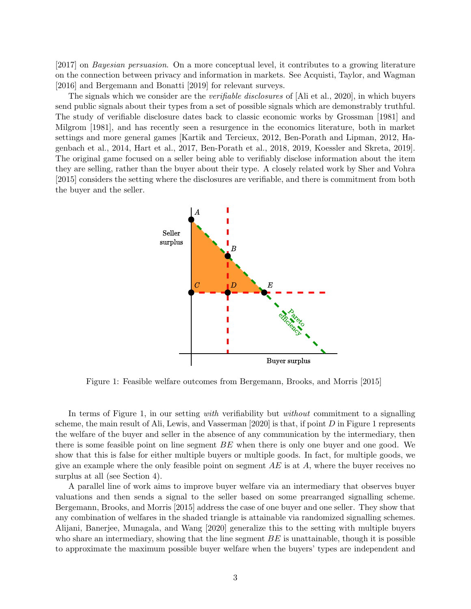[\[2017\]](#page-17-1) on Bayesian persuasion. On a more conceptual level, it contributes to a growing literature on the connection between privacy and information in markets. See [Acquisti, Taylor, and Wagman](#page-16-1) [\[2016\]](#page-16-1) and [Bergemann and Bonatti](#page-17-2) [\[2019\]](#page-17-2) for relevant surveys.

The signals which we consider are the *verifiable disclosures* of [\[Ali et al., 2020\]](#page-16-0), in which buyers send public signals about their types from a set of possible signals which are demonstrably truthful. The study of verifiable disclosure dates back to classic economic works by [Grossman](#page-17-3) [\[1981\]](#page-17-3) and [Milgrom](#page-17-4) [\[1981\]](#page-17-4), and has recently seen a resurgence in the economics literature, both in market settings and more general games [\[Kartik and Tercieux, 2012,](#page-17-5) [Ben-Porath and Lipman, 2012,](#page-16-2) [Ha](#page-17-6)[genbach et al., 2014,](#page-17-6) [Hart et al., 2017,](#page-17-7) [Ben-Porath et al., 2018,](#page-16-3) [2019,](#page-16-4) [Koessler and Skreta, 2019\]](#page-17-8). The original game focused on a seller being able to verifiably disclose information about the item they are selling, rather than the buyer about their type. A closely related work by [Sher and Vohra](#page-17-9) [\[2015\]](#page-17-9) considers the setting where the disclosures are verifiable, and there is commitment from both the buyer and the seller.

<span id="page-2-0"></span>

Figure 1: Feasible welfare outcomes from [Bergemann, Brooks, and Morris](#page-17-0) [\[2015\]](#page-17-0)

In terms of Figure [1,](#page-2-0) in our setting with verifiability but without commitment to a signalling scheme, the main result of [Ali, Lewis, and Vasserman](#page-16-0) [\[2020\]](#page-16-0) is that, if point  $D$  in Figure [1](#page-2-0) represents the welfare of the buyer and seller in the absence of any communication by the intermediary, then there is some feasible point on line segment  $BE$  when there is only one buyer and one good. We show that this is false for either multiple buyers or multiple goods. In fact, for multiple goods, we give an example where the only feasible point on segment  $AE$  is at  $A$ , where the buyer receives no surplus at all (see Section [4\)](#page-9-0).

A parallel line of work aims to improve buyer welfare via an intermediary that observes buyer valuations and then sends a signal to the seller based on some prearranged signalling scheme. [Bergemann, Brooks, and Morris](#page-17-0) [\[2015\]](#page-17-0) address the case of one buyer and one seller. They show that any combination of welfares in the shaded triangle is attainable via randomized signalling schemes. [Alijani, Banerjee, Munagala, and Wang](#page-16-5) [\[2020\]](#page-16-5) generalize this to the setting with multiple buyers who share an intermediary, showing that the line segment  $BE$  is unattainable, though it is possible to approximate the maximum possible buyer welfare when the buyers' types are independent and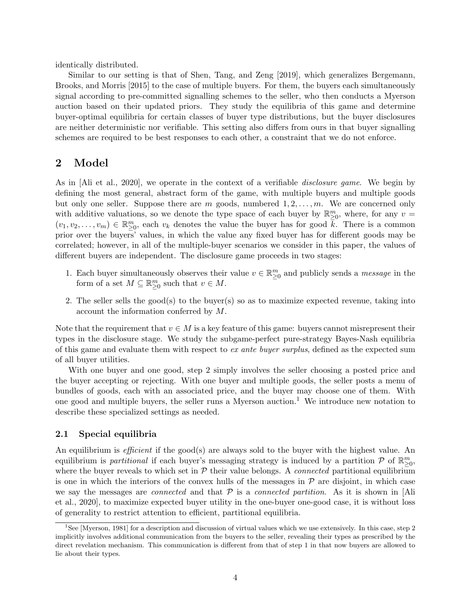identically distributed.

Similar to our setting is that of [Shen, Tang, and Zeng](#page-17-10) [\[2019\]](#page-17-10), which generalizes [Bergemann,](#page-17-0) [Brooks, and Morris](#page-17-0) [\[2015\]](#page-17-0) to the case of multiple buyers. For them, the buyers each simultaneously signal according to pre-committed signalling schemes to the seller, who then conducts a Myerson auction based on their updated priors. They study the equilibria of this game and determine buyer-optimal equilibria for certain classes of buyer type distributions, but the buyer disclosures are neither deterministic nor verifiable. This setting also differs from ours in that buyer signalling schemes are required to be best responses to each other, a constraint that we do not enforce.

### 2 Model

As in [\[Ali et al., 2020\]](#page-16-0), we operate in the context of a verifiable disclosure game. We begin by defining the most general, abstract form of the game, with multiple buyers and multiple goods but only one seller. Suppose there are m goods, numbered  $1, 2, \ldots, m$ . We are concerned only with additive valuations, so we denote the type space of each buyer by  $\mathbb{R}^m_{\geq 0}$ , where, for any  $v =$  $(v_1, v_2, \ldots, v_m) \in \mathbb{R}_{\geq 0}^m$ , each  $v_k$  denotes the value the buyer has for good  $\overline{k}$ . There is a common prior over the buyers' values, in which the value any fixed buyer has for different goods may be correlated; however, in all of the multiple-buyer scenarios we consider in this paper, the values of different buyers are independent. The disclosure game proceeds in two stages:

- <span id="page-3-2"></span>1. Each buyer simultaneously observes their value  $v \in \mathbb{R}^m_{\geq 0}$  and publicly sends a *message* in the form of a set  $M \subseteq \mathbb{R}_{\geq 0}^m$  such that  $v \in M$ .
- <span id="page-3-0"></span>2. The seller sells the good(s) to the buyer(s) so as to maximize expected revenue, taking into account the information conferred by M.

Note that the requirement that  $v \in M$  is a key feature of this game: buyers cannot misrepresent their types in the disclosure stage. We study the subgame-perfect pure-strategy Bayes-Nash equilibria of this game and evaluate them with respect to ex ante buyer surplus, defined as the expected sum of all buyer utilities.

With one buyer and one good, step [2](#page-3-0) simply involves the seller choosing a posted price and the buyer accepting or rejecting. With one buyer and multiple goods, the seller posts a menu of bundles of goods, each with an associated price, and the buyer may choose one of them. With one good and multiple buyers, the seller runs a Myerson auction.<sup>[1](#page-3-1)</sup> We introduce new notation to describe these specialized settings as needed.

### 2.1 Special equilibria

An equilibrium is *efficient* if the good(s) are always sold to the buyer with the highest value. An equilibrium is *partitional* if each buyer's messaging strategy is induced by a partition  $P$  of  $\mathbb{R}^m_{\geq 0}$ , where the buyer reveals to which set in  $P$  their value belongs. A *connected* partitional equilibrium is one in which the interiors of the convex hulls of the messages in  $P$  are disjoint, in which case we say the messages are *connected* and that  $P$  is a *connected partition*. As it is shown in [\[Ali](#page-16-0) [et al., 2020\]](#page-16-0), to maximize expected buyer utility in the one-buyer one-good case, it is without loss of generality to restrict attention to efficient, partitional equilibria.

<span id="page-3-1"></span><sup>&</sup>lt;sup>1</sup>See [\[Myerson, 1981\]](#page-17-11) for a description and discussion of virtual values which we use extensively. In this case, step [2](#page-3-0) implicitly involves additional communication from the buyers to the seller, revealing their types as prescribed by the direct revelation mechanism. This communication is different from that of step [1](#page-3-2) in that now buyers are allowed to lie about their types.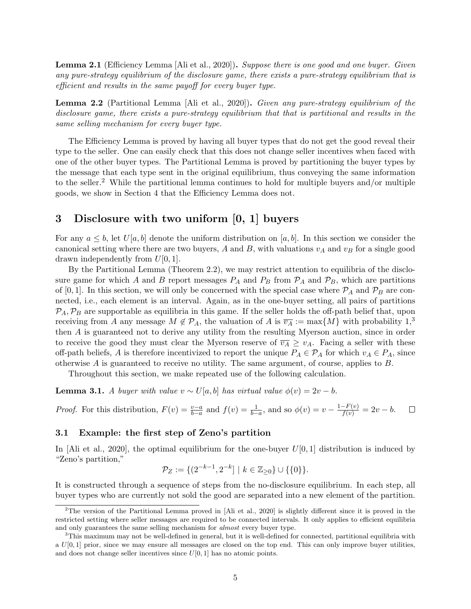**Lemma 2.1** (Efficiency Lemma [\[Ali et al., 2020\]](#page-16-0)). Suppose there is one good and one buyer. Given any pure-strategy equilibrium of the disclosure game, there exists a pure-strategy equilibrium that is efficient and results in the same payoff for every buyer type.

<span id="page-4-2"></span>Lemma 2.2 (Partitional Lemma [\[Ali et al., 2020\]](#page-16-0)). Given any pure-strategy equilibrium of the disclosure game, there exists a pure-strategy equilibrium that that is partitional and results in the same selling mechanism for every buyer type.

The Efficiency Lemma is proved by having all buyer types that do not get the good reveal their type to the seller. One can easily check that this does not change seller incentives when faced with one of the other buyer types. The Partitional Lemma is proved by partitioning the buyer types by the message that each type sent in the original equilibrium, thus conveying the same information to the seller.<sup>[2](#page-4-1)</sup> While the partitional lemma continues to hold for multiple buyers and/or multiple goods, we show in Section [4](#page-9-0) that the Efficiency Lemma does not.

# <span id="page-4-0"></span>3 Disclosure with two uniform [0, 1] buyers

For any  $a \leq b$ , let  $U[a, b]$  denote the uniform distribution on  $[a, b]$ . In this section we consider the canonical setting where there are two buyers, A and B, with valuations  $v_A$  and  $v_B$  for a single good drawn independently from  $U[0, 1]$ .

By the Partitional Lemma (Theorem [2.2\)](#page-4-2), we may restrict attention to equilibria of the disclosure game for which A and B report messages  $P_A$  and  $P_B$  from  $P_A$  and  $P_B$ , which are partitions of [0, 1]. In this section, we will only be concerned with the special case where  $P_A$  and  $P_B$  are connected, i.e., each element is an interval. Again, as in the one-buyer setting, all pairs of partitions  $P_A, P_B$  are supportable as equilibria in this game. If the seller holds the off-path belief that, upon receiving from A any message  $M \notin \mathcal{P}_A$ , the valuation of A is  $\overline{v_A} := \max\{M\}$  with probability  $1,^3$  $1,^3$ then A is guaranteed not to derive any utility from the resulting Myerson auction, since in order to receive the good they must clear the Myerson reserve of  $\overline{v_A} \geq v_A$ . Facing a seller with these off-path beliefs, A is therefore incentivized to report the unique  $P_A \in \mathcal{P}_A$  for which  $v_A \in P_A$ , since otherwise A is guaranteed to receive no utility. The same argument, of course, applies to B.

Throughout this section, we make repeated use of the following calculation.

<span id="page-4-4"></span>**Lemma 3.1.** A buyer with value  $v \sim U[a, b]$  has virtual value  $\phi(v) = 2v - b$ .

*Proof.* For this distribution,  $F(v) = \frac{v-a}{b-a}$  and  $f(v) = \frac{1}{b-a}$ , and so  $\phi(v) = v - \frac{1-F(v)}{f(v)} = 2v - b$ .  $\Box$ 

### <span id="page-4-5"></span>3.1 Example: the first step of Zeno's partition

In [\[Ali et al., 2020\]](#page-16-0), the optimal equilibrium for the one-buyer  $U[0, 1]$  distribution is induced by "Zeno's partition,"

$$
\mathcal{P}_Z := \{ (2^{-k-1}, 2^{-k}] \mid k \in \mathbb{Z}_{\geq 0} \} \cup \{ \{0\} \}.
$$

It is constructed through a sequence of steps from the no-disclosure equilibrium. In each step, all buyer types who are currently not sold the good are separated into a new element of the partition.

<span id="page-4-1"></span><sup>2</sup>The version of the Partitional Lemma proved in [\[Ali et al., 2020\]](#page-16-0) is slightly different since it is proved in the restricted setting where seller messages are required to be connected intervals. It only applies to efficient equilibria and only guarantees the same selling mechanism for almost every buyer type.

<span id="page-4-3"></span><sup>3</sup>This maximum may not be well-defined in general, but it is well-defined for connected, partitional equilibria with a  $U[0,1]$  prior, since we may ensure all messages are closed on the top end. This can only improve buyer utilities, and does not change seller incentives since  $U[0, 1]$  has no atomic points.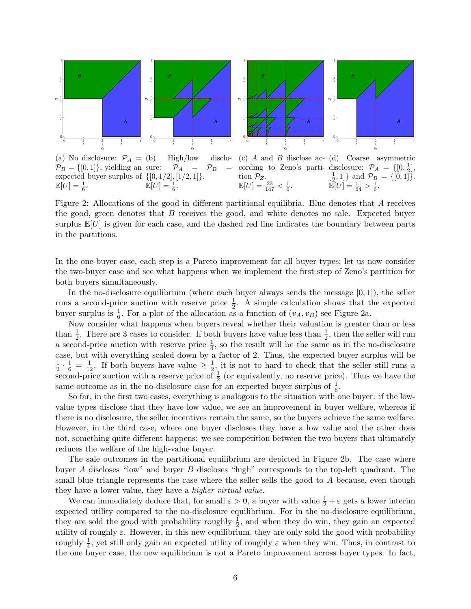<span id="page-5-0"></span>

(a) No disclosure:  $\mathcal{P}_A =$  (b)  $\mathcal{P}_B = \{[0,1]\},\$  yielding an sure:  $\mathcal{P}_A = \mathcal{P}_B =$ expected buyer surplus of  $\{[0, 1/2], [1/2, 1]\}.$  $\mathbb{E}[U] = \frac{1}{6}.$  $High/low$  $\mathbb{E}[U] = \frac{1}{6}.$ (c) A and B disclose ac-(d) Coarse asymmetric cording to Zeno's parti- disclosure:  $\mathcal{P}_A = \{[0, \frac{1}{2}],\}$ tion  $\mathcal{P}_Z$ .  $\mathbb{E}[U] = \frac{23}{147} < \frac{1}{6}.$  $\left[\frac{1}{2}, 1\right]$  and  $\mathcal{P}_B = \{[0, 1]\}.$  $\mathbb{E}[U] = \frac{11}{64} > \frac{1}{6}.$ 

Figure 2: Allocations of the good in different partitional equilibria. Blue denotes that A receives the good, green denotes that B receives the good, and white denotes no sale. Expected buyer surplus  $\mathbb{E}[U]$  is given for each case, and the dashed red line indicates the boundary between parts in the partitions.

In the one-buyer case, each step is a Pareto improvement for all buyer types; let us now consider the two-buyer case and see what happens when we implement the first step of Zeno's partition for both buyers simultaneously.

In the no-disclosure equilibrium (where each buyer always sends the message  $[0, 1]$ ), the seller runs a second-price auction with reserve price  $\frac{1}{2}$ . A simple calculation shows that the expected buyer surplus is  $\frac{1}{6}$ . For a plot of the allocation as a function of  $(v_A, v_B)$  see Figure [2a.](#page-5-0)

Now consider what happens when buyers reveal whether their valuation is greater than or less than  $\frac{1}{2}$ . There are 3 cases to consider. If both buyers have value less than  $\frac{1}{2}$ , then the seller will run a second-price auction with reserve price  $\frac{1}{4}$ , so the result will be the same as in the no-disclosure case, but with everything scaled down by a factor of 2. Thus, the expected buyer surplus will be 1  $\frac{1}{2} \cdot \frac{1}{6} = \frac{1}{12}$ . If both buyers have value  $\geq \frac{1}{2}$  $\frac{1}{2}$ , it is not to hard to check that the seller still runs a second-price auction with a reserve price of  $\frac{1}{2}$  (or equivalently, no reserve price). Thus we have the same outcome as in the no-disclosure case for an expected buyer surplus of  $\frac{1}{6}$ .

So far, in the first two cases, everything is analogous to the situation with one buyer: if the lowvalue types disclose that they have low value, we see an improvement in buyer welfare, whereas if there is no disclosure, the seller incentives remain the same, so the buyers achieve the same welfare. However, in the third case, where one buyer discloses they have a low value and the other does not, something quite different happens: we see competition between the two buyers that ultimately reduces the welfare of the high-value buyer.

The sale outcomes in the partitional equilibrium are depicted in Figure [2b.](#page-5-0) The case where buyer A discloses "low" and buyer B discloses "high" corresponds to the top-left quadrant. The small blue triangle represents the case where the seller sells the good to A because, even though they have a lower value, they have a higher virtual value.

We can immediately deduce that, for small  $\varepsilon > 0$ , a buyer with value  $\frac{1}{2} + \varepsilon$  gets a lower interim expected utility compared to the no-disclosure equilibrium. For in the no-disclosure equilibrium, they are sold the good with probability roughly  $\frac{1}{2}$ , and when they do win, they gain an expected utility of roughly  $\varepsilon$ . However, in this new equilibrium, they are only sold the good with probability roughly  $\frac{1}{4}$ , yet still only gain an expected utility of roughly  $\varepsilon$  when they win. Thus, in contrast to the one buyer case, the new equilibrium is not a Pareto improvement across buyer types. In fact,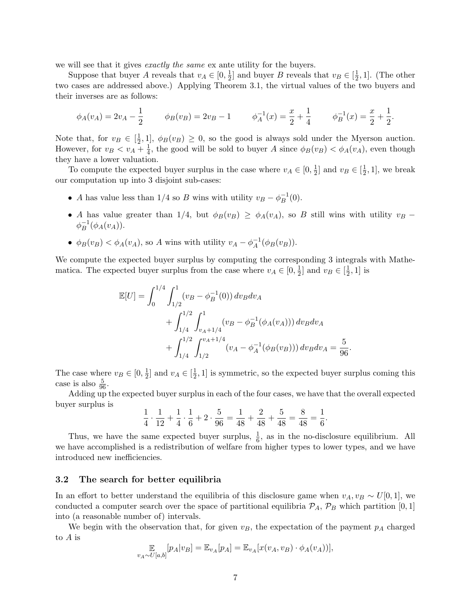we will see that it gives *exactly the same* ex ante utility for the buyers.

Suppose that buyer A reveals that  $v_A \in [0, \frac{1}{2}]$  $\frac{1}{2}$  and buyer B reveals that  $v_B \in [\frac{1}{2}]$  $\frac{1}{2}$ , 1]. (The other two cases are addressed above.) Applying Theorem [3.1,](#page-4-4) the virtual values of the two buyers and their inverses are as follows:

$$
\phi_A(v_A) = 2v_A - \frac{1}{2} \qquad \phi_B(v_B) = 2v_B - 1 \qquad \phi_A^{-1}(x) = \frac{x}{2} + \frac{1}{4} \qquad \phi_B^{-1}(x) = \frac{x}{2} + \frac{1}{2}.
$$

Note that, for  $v_B \in \left[\frac{1}{2}\right]$  $\frac{1}{2}$ , 1],  $\phi_B(v_B) \geq 0$ , so the good is always sold under the Myerson auction. However, for  $v_B < v_A + \frac{1}{4}$  $\frac{1}{4}$ , the good will be sold to buyer A since  $\phi_B(v_B) < \phi_A(v_A)$ , even though they have a lower valuation.

To compute the expected buyer surplus in the case where  $v_A \in [0, \frac{1}{2}]$  $\frac{1}{2}$  and  $v_B \in \left[\frac{1}{2}\right]$  $\frac{1}{2}$ , 1], we break our computation up into 3 disjoint sub-cases:

- A has value less than 1/4 so B wins with utility  $v_B \phi_B^{-1}$  $B^{-1}(0).$
- A has value greater than 1/4, but  $\phi_B(v_B) \ge \phi_A(v_A)$ , so B still wins with utility  $v_B$   $\phi_B^{-1}$  $B^{-1}(\phi_A(v_A)).$
- $\phi_B(v_B) < \phi_A(v_A)$ , so A wins with utility  $v_A \phi_A^{-1}$  $_{A}^{-1}(\phi_{B}(v_{B})).$

We compute the expected buyer surplus by computing the corresponding 3 integrals with Mathematica. The expected buyer surplus from the case where  $v_A \in [0, \frac{1}{2}]$  $\frac{1}{2}$  and  $v_B \in \left[\frac{1}{2}\right]$  $\frac{1}{2}$ , 1] is

$$
\mathbb{E}[U] = \int_0^{1/4} \int_{1/2}^1 (v_B - \phi_B^{-1}(0)) dv_B dv_A \n+ \int_{1/4}^{1/2} \int_{v_A + 1/4}^1 (v_B - \phi_B^{-1}(\phi_A(v_A))) dv_B dv_A \n+ \int_{1/4}^{1/2} \int_{1/2}^{v_A + 1/4} (v_A - \phi_A^{-1}(\phi_B(v_B))) dv_B dv_A = \frac{5}{96}.
$$

The case where  $v_B \in [0, \frac{1}{2}]$  $\frac{1}{2}$  and  $v_A \in \left[\frac{1}{2}\right]$  $\frac{1}{2}$ , 1] is symmetric, so the expected buyer surplus coming this case is also  $\frac{5}{96}$ .

Adding up the expected buyer surplus in each of the four cases, we have that the overall expected buyer surplus is

$$
\frac{1}{4} \cdot \frac{1}{12} + \frac{1}{4} \cdot \frac{1}{6} + 2 \cdot \frac{5}{96} = \frac{1}{48} + \frac{2}{48} + \frac{5}{48} = \frac{8}{48} = \frac{1}{6}.
$$

Thus, we have the same expected buyer surplus,  $\frac{1}{6}$ , as in the no-disclosure equilibrium. All we have accomplished is a redistribution of welfare from higher types to lower types, and we have introduced new inefficiencies.

#### <span id="page-6-0"></span>3.2 The search for better equilibria

In an effort to better understand the equilibria of this disclosure game when  $v_A, v_B \sim U[0, 1]$ , we conducted a computer search over the space of partitional equilibria  $P_A$ ,  $P_B$  which partition [0, 1] into (a reasonable number of) intervals.

We begin with the observation that, for given  $v_B$ , the expectation of the payment  $p_A$  charged to A is

$$
\mathop{\mathbb{E}}_{v_A \sim U[a,b]}[p_A|v_B] = \mathop{\mathbb{E}}_{v_A}[p_A] = \mathop{\mathbb{E}}_{v_A}[x(v_A, v_B) \cdot \phi_A(v_A))],
$$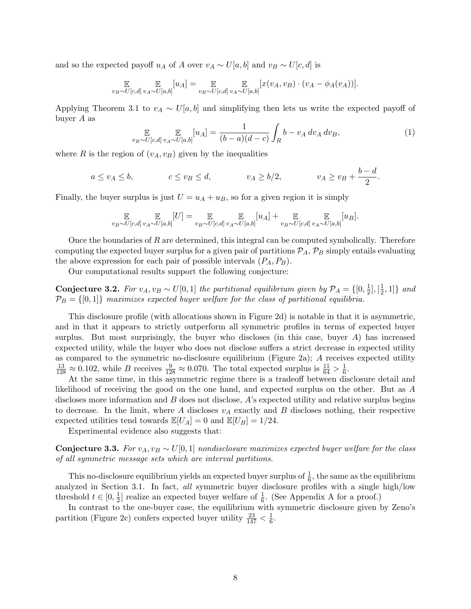and so the expected payoff  $u_A$  of A over  $v_A \sim U[a, b]$  and  $v_B \sim U[c, d]$  is

$$
\mathop{\mathbb{E}}_{v_B \sim U[c,d]}\mathop{\mathbb{E}}_{v_A \sim U[a,b]}[u_A] = \mathop{\mathbb{E}}_{v_B \sim U[c,d]}\mathop{\mathbb{E}}_{v_A \sim U[a,b]}[x(v_A, v_B) \cdot (v_A - \phi_A(v_A))].
$$

Applying Theorem [3.1](#page-4-4) to  $v_A \sim U[a, b]$  and simplifying then lets us write the expected payoff of buyer A as

<span id="page-7-0"></span>
$$
\mathop{\mathbb{E}}_{v_B \sim U[c,d]}\mathop{\mathbb{E}}_{v_A \sim U[a,b]}[u_A] = \frac{1}{(b-a)(d-c)}\int_R b - v_A \,dv_A \,dv_B,\tag{1}
$$

where R is the region of  $(v_A, v_B)$  given by the inequalities

$$
a \le v_A \le b
$$
,  $c \le v_B \le d$ ,  $v_A \ge b/2$ ,  $v_A \ge v_B + \frac{b-d}{2}$ .

Finally, the buyer surplus is just  $U = u<sub>A</sub> + u<sub>B</sub>$ , so for a given region it is simply

$$
\mathop{\mathbb{E}}_{v_B \sim U[c,d]}\mathop{\mathbb{E}}_{v_A \sim U[a,b]}[U] = \mathop{\mathbb{E}}_{v_B \sim U[c,d]} \mathop{\mathbb{E}}_{v_A \sim U[a,b]}[u_A] + \mathop{\mathbb{E}}_{v_B \sim U[c,d]} \mathop{\mathbb{E}}_{v_A \sim U[a,b]}[u_B].
$$

Once the boundaries of  $R$  are determined, this integral can be computed symbolically. Therefore computing the expected buyer surplus for a given pair of partitions  $P_A$ ,  $P_B$  simply entails evaluating the above expression for each pair of possible intervals  $(P_A, P_B)$ .

Our computational results support the following conjecture:

**Conjecture 3.2.** For  $v_A, v_B \sim U[0, 1]$  the partitional equilibrium given by  $\mathcal{P}_A = \{[0, \frac{1}{2}]\}$  $\frac{1}{2}$ ,  $[\frac{1}{2}]$  $\frac{1}{2}, 1]$ } and  $\mathcal{P}_B = \{ [0,1] \}$  maximizes expected buyer welfare for the class of partitional equilibria.

This disclosure profile (with allocations shown in Figure [2d\)](#page-5-0) is notable in that it is asymmetric, and in that it appears to strictly outperform all symmetric profiles in terms of expected buyer surplus. But most surprisingly, the buyer who discloses (in this case, buyer  $A$ ) has increased expected utility, while the buyer who does not disclose suffers a strict decrease in expected utility as compared to the symmetric no-disclosure equilibrium (Figure [2a\)](#page-5-0); A receives expected utility  $\frac{13}{128} \approx 0.102$ , while B receives  $\frac{9}{128} \approx 0.070$ . The total expected surplus is  $\frac{11}{64} > \frac{1}{6}$  $\frac{1}{6}$ .

At the same time, in this asymmetric regime there is a tradeoff between disclosure detail and likelihood of receiving the good on the one hand, and expected surplus on the other. But as A discloses more information and B does not disclose, A's expected utility and relative surplus begins to decrease. In the limit, where A discloses  $v_A$  exactly and B discloses nothing, their respective expected utilities tend towards  $\mathbb{E}[U_A] = 0$  and  $\mathbb{E}[U_B] = 1/24$ .

Experimental evidence also suggests that:

**Conjecture 3.3.** For  $v_A, v_B \sim U[0, 1]$  nondisclosure maximizes expected buyer welfare for the class of all symmetric message sets which are interval partitions.

This no-disclosure equilibrium yields an expected buyer surplus of  $\frac{1}{6}$ , the same as the equilibrium analyzed in Section [3.1.](#page-4-5) In fact, all symmetric buyer disclosure profiles with a single high/low threshold  $t \in [0, \frac{1}{2}]$  $\frac{1}{2}$  realize an expected buyer welfare of  $\frac{1}{6}$ . (See [A](#page-18-0)ppendix A for a proof.)

In contrast to the one-buyer case, the equilibrium with symmetric disclosure given by Zeno's partition (Figure [2c\)](#page-5-0) confers expected buyer utility  $\frac{23}{147} < \frac{1}{6}$  $\frac{1}{6}$ .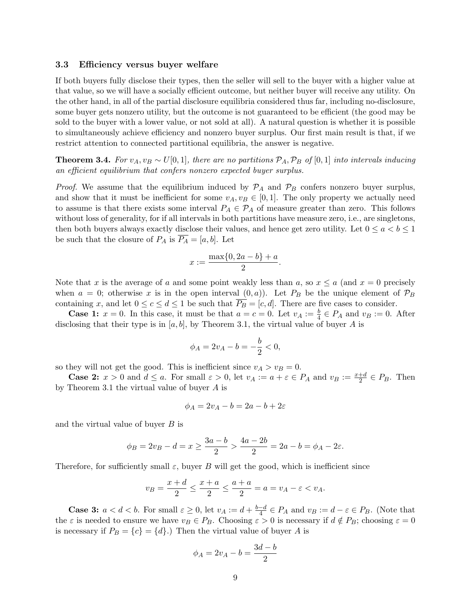#### 3.3 Efficiency versus buyer welfare

If both buyers fully disclose their types, then the seller will sell to the buyer with a higher value at that value, so we will have a socially efficient outcome, but neither buyer will receive any utility. On the other hand, in all of the partial disclosure equilibria considered thus far, including no-disclosure, some buyer gets nonzero utility, but the outcome is not guaranteed to be efficient (the good may be sold to the buyer with a lower value, or not sold at all). A natural question is whether it is possible to simultaneously achieve efficiency and nonzero buyer surplus. Our first main result is that, if we restrict attention to connected partitional equilibria, the answer is negative.

<span id="page-8-0"></span>**Theorem 3.4.** For  $v_A, v_B \sim U[0, 1]$ , there are no partitions  $\mathcal{P}_A$ ,  $\mathcal{P}_B$  of [0, 1] into intervals inducing an efficient equilibrium that confers nonzero expected buyer surplus.

*Proof.* We assume that the equilibrium induced by  $\mathcal{P}_A$  and  $\mathcal{P}_B$  confers nonzero buyer surplus, and show that it must be inefficient for some  $v_A, v_B \in [0, 1]$ . The only property we actually need to assume is that there exists some interval  $P_A \in \mathcal{P}_A$  of measure greater than zero. This follows without loss of generality, for if all intervals in both partitions have measure zero, i.e., are singletons, then both buyers always exactly disclose their values, and hence get zero utility. Let  $0 \le a < b \le 1$ be such that the closure of  $P_A$  is  $\overline{P_A} = [a, b]$ . Let

$$
x := \frac{\max\{0, 2a - b\} + a}{2}.
$$

Note that x is the average of a and some point weakly less than a, so  $x \le a$  (and  $x = 0$  precisely when  $a = 0$ ; otherwise x is in the open interval  $(0, a)$ . Let  $P_B$  be the unique element of  $\mathcal{P}_B$ containing x, and let  $0 \le c \le d \le 1$  be such that  $\overline{P_B} = [c, d]$ . There are five cases to consider.

**Case 1:**  $x = 0$ . In this case, it must be that  $a = c = 0$ . Let  $v_A := \frac{b}{4} \in P_A$  and  $v_B := 0$ . After disclosing that their type is in  $[a, b]$ , by Theorem [3.1,](#page-4-4) the virtual value of buyer A is

$$
\phi_A = 2v_A - b = -\frac{b}{2} < 0,
$$

so they will not get the good. This is inefficient since  $v_A > v_B = 0$ .

**Case 2:**  $x > 0$  and  $d \le a$ . For small  $\varepsilon > 0$ , let  $v_A := a + \varepsilon \in P_A$  and  $v_B := \frac{x+d}{2} \in P_B$ . Then by Theorem [3.1](#page-4-4) the virtual value of buyer A is

$$
\phi_A = 2v_A - b = 2a - b + 2\varepsilon
$$

and the virtual value of buyer  $B$  is

$$
\phi_B = 2v_B - d = x \ge \frac{3a - b}{2} > \frac{4a - 2b}{2} = 2a - b = \phi_A - 2\varepsilon.
$$

Therefore, for sufficiently small  $\varepsilon$ , buyer B will get the good, which is inefficient since

$$
v_B = \frac{x+d}{2} \le \frac{x+a}{2} \le \frac{a+a}{2} = a = v_A - \varepsilon < v_A.
$$

**Case 3:**  $a < d < b$ . For small  $\varepsilon \geq 0$ , let  $v_A := d + \frac{b-d}{4}$  $\frac{-d}{4} \in P_A$  and  $v_B := d - \varepsilon \in P_B$ . (Note that the  $\varepsilon$  is needed to ensure we have  $v_B \in P_B$ . Choosing  $\varepsilon > 0$  is necessary if  $d \notin P_B$ ; choosing  $\varepsilon = 0$ is necessary if  $P_B = \{c\} = \{d\}$ .) Then the virtual value of buyer A is

$$
\phi_A = 2v_A - b = \frac{3d - b}{2}
$$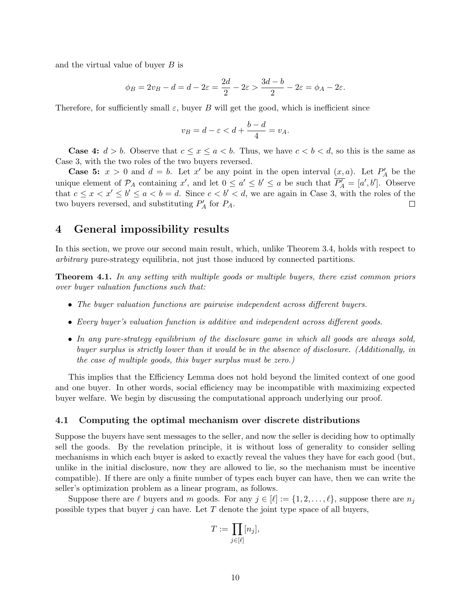and the virtual value of buyer  $B$  is

$$
\phi_B = 2v_B - d = d - 2\varepsilon = \frac{2d}{2} - 2\varepsilon > \frac{3d - b}{2} - 2\varepsilon = \phi_A - 2\varepsilon.
$$

Therefore, for sufficiently small  $\varepsilon$ , buyer B will get the good, which is inefficient since

$$
v_B = d - \varepsilon < d + \frac{b - d}{4} = v_A.
$$

**Case 4:**  $d > b$ . Observe that  $c \leq x \leq a < b$ . Thus, we have  $c < b < d$ , so this is the same as Case 3, with the two roles of the two buyers reversed.

**Case 5:**  $x > 0$  and  $d = b$ . Let  $x'$  be any point in the open interval  $(x, a)$ . Let  $P'_A$  be the unique element of  $\mathcal{P}_A$  containing x', and let  $0 \le a' \le b' \le a$  be such that  $\overline{\mathcal{P}'_A} = [a', b']$ . Observe that  $c \leq x < x' \leq b' \leq a < b = d$ . Since  $c < b' < d$ , we are again in Case 3, with the roles of the two buyers reversed, and substituting  $P'_A$  for  $P_A$ .  $\Box$ 

### <span id="page-9-0"></span>4 General impossibility results

In this section, we prove our second main result, which, unlike Theorem [3.4,](#page-8-0) holds with respect to arbitrary pure-strategy equilibria, not just those induced by connected partitions.

<span id="page-9-1"></span>**Theorem 4.1.** In any setting with multiple goods or multiple buyers, there exist common priors over buyer valuation functions such that:

- The buyer valuation functions are pairwise independent across different buyers.
- Every buyer's valuation function is additive and independent across different goods.
- In any pure-strategy equilibrium of the disclosure game in which all goods are always sold, buyer surplus is strictly lower than it would be in the absence of disclosure. (Additionally, in the case of multiple goods, this buyer surplus must be zero.)

This implies that the Efficiency Lemma does not hold beyond the limited context of one good and one buyer. In other words, social efficiency may be incompatible with maximizing expected buyer welfare. We begin by discussing the computational approach underlying our proof.

#### 4.1 Computing the optimal mechanism over discrete distributions

Suppose the buyers have sent messages to the seller, and now the seller is deciding how to optimally sell the goods. By the revelation principle, it is without loss of generality to consider selling mechanisms in which each buyer is asked to exactly reveal the values they have for each good (but, unlike in the initial disclosure, now they are allowed to lie, so the mechanism must be incentive compatible). If there are only a finite number of types each buyer can have, then we can write the seller's optimization problem as a linear program, as follows.

Suppose there are  $\ell$  buyers and m goods. For any  $j \in [\ell] := \{1, 2, \ldots, \ell\}$ , suppose there are  $n_j$ possible types that buyer j can have. Let  $T$  denote the joint type space of all buyers,

$$
T := \prod_{j \in [\ell]} [n_j],
$$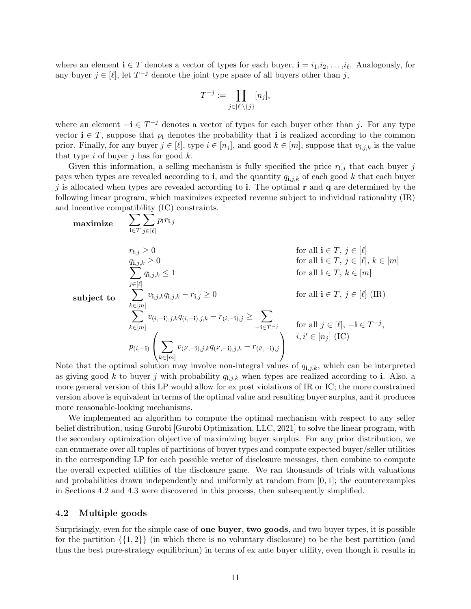where an element  $\mathbf{i} \in T$  denotes a vector of types for each buyer,  $\mathbf{i} = i_1, i_2, \ldots, i_\ell$ . Analogously, for any buyer  $j \in [\ell],$  let  $T^{-j}$  denote the joint type space of all buyers other than j,

$$
T^{-j} := \prod_{j \in [\ell] \setminus \{j\}} [n_j],
$$

where an element  $-i \in T^{-j}$  denotes a vector of types for each buyer other than j. For any type vector  $i \in T$ , suppose that  $p_i$  denotes the probability that i is realized according to the common prior. Finally, for any buyer  $j \in [\ell],$  type  $i \in [n_j]$ , and good  $k \in [m]$ , suppose that  $v_{i,j,k}$  is the value that type i of buyer j has for good  $k$ .

Given this information, a selling mechanism is fully specified the price  $r_{i,j}$  that each buyer j pays when types are revealed according to i, and the quantity  $q_{i,j,k}$  of each good k that each buyer j is allocated when types are revealed according to i. The optimal  ${\bf r}$  and  ${\bf q}$  are determined by the following linear program, which maximizes expected revenue subject to individual rationality (IR) and incentive compatibility (IC) constraints.

$$
\begin{array}{ll}\n\textbf{maximize} & \sum_{\mathbf{i}\in T} \sum_{j\in[\ell]} p_{\mathbf{i}} r_{\mathbf{i},j} \\
& r_{\mathbf{i},j} \geq 0 \\
& q_{\mathbf{i},j,k} \geq 0 \\
& \sum_{j\in[\ell]} q_{\mathbf{i},j,k} \leq 1 \\
& \sum_{j\in[\ell]} q_{\mathbf{i},j,k} \leq 1 \\
& \text{subject to} \quad \sum_{k\in[m]} v_{\mathbf{i},j,k} q_{\mathbf{i},j,k} - r_{\mathbf{i},j} \geq 0 \\
& \sum_{k\in[m]} v_{\mathbf{i},j,k} q_{\mathbf{i},j,k} - r_{\mathbf{i},j} \geq 0 \\
& \sum_{k\in[m]} v_{\mathbf{i},-1,j,k} q_{\mathbf{i},-1,j,k} - r_{\mathbf{i},-1,j} \geq \sum_{-\mathbf{i}\in T^{-j}} \quad \text{for all } j\in[\ell], -\mathbf{i}\in T^{-j}, \\
& p_{\mathbf{i},-1} \left( \sum_{k\in[m]} v_{\mathbf{i}',-1,j,k} q_{\mathbf{i}',-1,j,k} - r_{\mathbf{i}',-1,j} \right) \\
& \text{if } j\in[n] \text{ (IC)}\n\end{array}
$$

Note that the optimal solution may involve non-integral values of  $q_{i,j,k}$ , which can be interpreted as giving good k to buyer j with probability  $q_{i,j,k}$  when types are realized according to i. Also, a more general version of this LP would allow for ex post violations of IR or IC; the more constrained version above is equivalent in terms of the optimal value and resulting buyer surplus, and it produces more reasonable-looking mechanisms.

We implemented an algorithm to compute the optimal mechanism with respect to any seller belief distribution, using Gurobi [\[Gurobi Optimization, LLC, 2021\]](#page-17-12) to solve the linear program, with the secondary optimization objective of maximizing buyer surplus. For any prior distribution, we can enumerate over all tuples of partitions of buyer types and compute expected buyer/seller utilities in the corresponding LP for each possible vector of disclosure messages, then combine to compute the overall expected utilities of the disclosure game. We ran thousands of trials with valuations and probabilities drawn independently and uniformly at random from  $[0, 1]$ ; the counterexamples in Sections [4.2](#page-10-0) and [4.3](#page-11-0) were discovered in this process, then subsequently simplified.

#### <span id="page-10-0"></span>4.2 Multiple goods

Surprisingly, even for the simple case of one buyer, two goods, and two buyer types, it is possible for the partition  $\{\{1,2\}\}\$ (in which there is no voluntary disclosure) to be the best partition (and thus the best pure-strategy equilibrium) in terms of ex ante buyer utility, even though it results in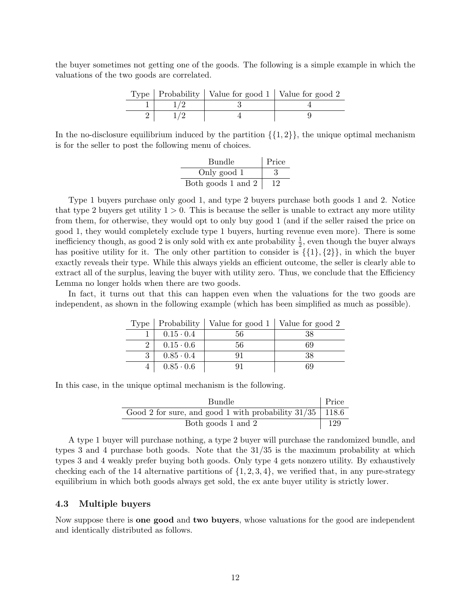the buyer sometimes not getting one of the goods. The following is a simple example in which the valuations of the two goods are correlated.

|  | Type   Probability   Value for good $1 \vert$ Value for good $2 \vert$ |  |
|--|------------------------------------------------------------------------|--|
|  |                                                                        |  |
|  |                                                                        |  |

In the no-disclosure equilibrium induced by the partition  $\{\{1,2\}\}\,$ , the unique optimal mechanism is for the seller to post the following menu of choices.

| <b>Bundle</b>      | Price |
|--------------------|-------|
| Only good 1        | 3     |
| Both goods 1 and 2 |       |

Type 1 buyers purchase only good 1, and type 2 buyers purchase both goods 1 and 2. Notice that type 2 buyers get utility  $1 > 0$ . This is because the seller is unable to extract any more utility from them, for otherwise, they would opt to only buy good 1 (and if the seller raised the price on good 1, they would completely exclude type 1 buyers, hurting revenue even more). There is some inefficiency though, as good 2 is only sold with ex ante probability  $\frac{1}{2}$ , even though the buyer always has positive utility for it. The only other partition to consider is  $\{\{1\},\{2\}\}\,$  in which the buyer exactly reveals their type. While this always yields an efficient outcome, the seller is clearly able to extract all of the surplus, leaving the buyer with utility zero. Thus, we conclude that the Efficiency Lemma no longer holds when there are two goods.

In fact, it turns out that this can happen even when the valuations for the two goods are independent, as shown in the following example (which has been simplified as much as possible).

|                  | Type   Probability   Value for good $1 \vert$ Value for good $2 \vert$ |    |
|------------------|------------------------------------------------------------------------|----|
| $0.15 \cdot 0.4$ | 56                                                                     |    |
| $0.15 \cdot 0.6$ | 56                                                                     | 69 |
| $0.85 \cdot 0.4$ | 91                                                                     | 38 |
| $0.85 \cdot 0.6$ |                                                                        |    |

In this case, in the unique optimal mechanism is the following.

| Price<br><b>Bundle</b>                                       |  |
|--------------------------------------------------------------|--|
| Good 2 for sure, and good 1 with probability $31/35$   118.6 |  |
| Both goods 1 and 2                                           |  |

A type 1 buyer will purchase nothing, a type 2 buyer will purchase the randomized bundle, and types 3 and 4 purchase both goods. Note that the 31/35 is the maximum probability at which types 3 and 4 weakly prefer buying both goods. Only type 4 gets nonzero utility. By exhaustively checking each of the 14 alternative partitions of  $\{1, 2, 3, 4\}$ , we verified that, in any pure-strategy equilibrium in which both goods always get sold, the ex ante buyer utility is strictly lower.

#### <span id="page-11-0"></span>4.3 Multiple buyers

Now suppose there is one good and two buyers, whose valuations for the good are independent and identically distributed as follows.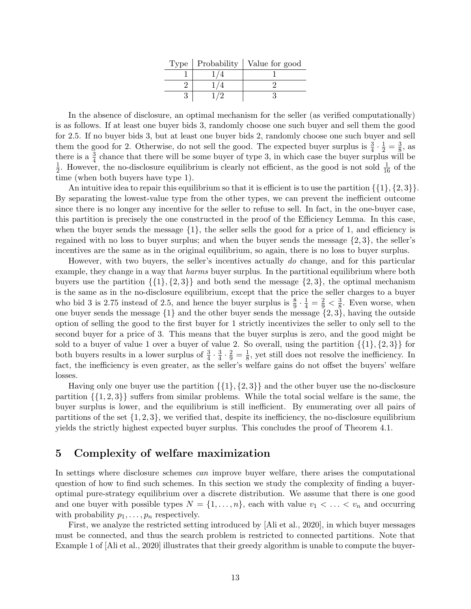|  | Type $\vert$ Probability $\vert$ Value for good |
|--|-------------------------------------------------|
|  |                                                 |
|  |                                                 |
|  |                                                 |

In the absence of disclosure, an optimal mechanism for the seller (as verified computationally) is as follows. If at least one buyer bids 3, randomly choose one such buyer and sell them the good for 2.5. If no buyer bids 3, but at least one buyer bids 2, randomly choose one such buyer and sell them the good for 2. Otherwise, do not sell the good. The expected buyer surplus is  $\frac{3}{4} \cdot \frac{1}{2} = \frac{3}{8}$  $\frac{3}{8}$ , as there is a  $\frac{3}{4}$  chance that there will be some buyer of type 3, in which case the buyer surplus will be 1  $\frac{1}{2}$ . However, the no-disclosure equilibrium is clearly not efficient, as the good is not sold  $\frac{1}{16}$  of the time (when both buyers have type 1).

An intuitive idea to repair this equilibrium so that it is efficient is to use the partition  $\{\{1\},\{2,3\}\}.$ By separating the lowest-value type from the other types, we can prevent the inefficient outcome since there is no longer any incentive for the seller to refuse to sell. In fact, in the one-buyer case, this partition is precisely the one constructed in the proof of the Efficiency Lemma. In this case, when the buyer sends the message  $\{1\}$ , the seller sells the good for a price of 1, and efficiency is regained with no loss to buyer surplus; and when the buyer sends the message {2, 3}, the seller's incentives are the same as in the original equilibrium, so again, there is no loss to buyer surplus.

However, with two buyers, the seller's incentives actually do change, and for this particular example, they change in a way that *harms* buyer surplus. In the partitional equilibrium where both buyers use the partition  $\{\{1\},\{2,3\}\}\$  and both send the message  $\{2,3\}\$ , the optimal mechanism is the same as in the no-disclosure equilibrium, except that the price the seller charges to a buyer who bid 3 is 2.75 instead of 2.5, and hence the buyer surplus is  $\frac{8}{9} \cdot \frac{1}{4} = \frac{2}{9} < \frac{3}{8}$  $\frac{3}{8}$ . Even worse, when one buyer sends the message  $\{1\}$  and the other buyer sends the message  $\{2,3\}$ , having the outside option of selling the good to the first buyer for 1 strictly incentivizes the seller to only sell to the second buyer for a price of 3. This means that the buyer surplus is zero, and the good might be sold to a buyer of value 1 over a buyer of value 2. So overall, using the partition  $\{\{1\}, \{2, 3\}\}\$ for both buyers results in a lower surplus of  $\frac{3}{4} \cdot \frac{3}{4}$  $\frac{3}{4} \cdot \frac{2}{9} = \frac{1}{8}$  $\frac{1}{8}$ , yet still does not resolve the inefficiency. In fact, the inefficiency is even greater, as the seller's welfare gains do not offset the buyers' welfare losses.

Having only one buyer use the partition  $\{\{1\}, \{2, 3\}\}\$ and the other buyer use the no-disclosure partition  $\{\{1, 2, 3\}\}\$  suffers from similar problems. While the total social welfare is the same, the buyer surplus is lower, and the equilibrium is still inefficient. By enumerating over all pairs of partitions of the set  $\{1, 2, 3\}$ , we verified that, despite its inefficiency, the no-disclosure equilibrium yields the strictly highest expected buyer surplus. This concludes the proof of Theorem [4.1.](#page-9-1)

### <span id="page-12-0"></span>5 Complexity of welfare maximization

In settings where disclosure schemes *can* improve buyer welfare, there arises the computational question of how to find such schemes. In this section we study the complexity of finding a buyeroptimal pure-strategy equilibrium over a discrete distribution. We assume that there is one good and one buyer with possible types  $N = \{1, \ldots, n\}$ , each with value  $v_1 < \ldots < v_n$  and occurring with probability  $p_1, \ldots, p_n$  respectively.

First, we analyze the restricted setting introduced by [\[Ali et al., 2020\]](#page-16-0), in which buyer messages must be connected, and thus the search problem is restricted to connected partitions. Note that Example 1 of [\[Ali et al., 2020\]](#page-16-0) illustrates that their greedy algorithm is unable to compute the buyer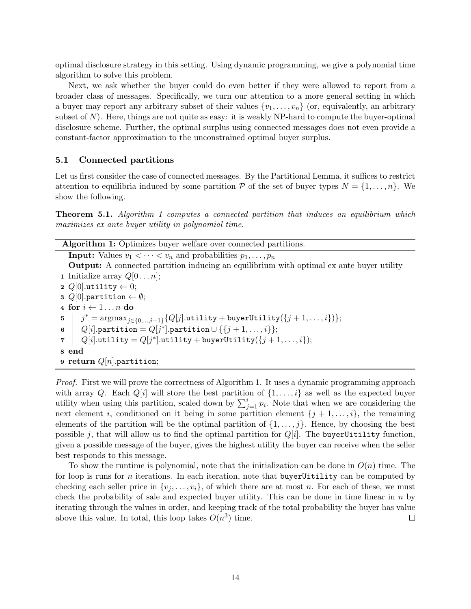optimal disclosure strategy in this setting. Using dynamic programming, we give a polynomial time algorithm to solve this problem.

Next, we ask whether the buyer could do even better if they were allowed to report from a broader class of messages. Specifically, we turn our attention to a more general setting in which a buyer may report any arbitrary subset of their values  $\{v_1, \ldots, v_n\}$  (or, equivalently, an arbitrary subset of  $N$ ). Here, things are not quite as easy: it is weakly NP-hard to compute the buyer-optimal disclosure scheme. Further, the optimal surplus using connected messages does not even provide a constant-factor approximation to the unconstrained optimal buyer surplus.

### <span id="page-13-2"></span>5.1 Connected partitions

Let us first consider the case of connected messages. By the Partitional Lemma, it suffices to restrict attention to equilibria induced by some partition P of the set of buyer types  $N = \{1, \ldots, n\}$ . We show the following.

<span id="page-13-0"></span>Theorem 5.1. Algorithm [1](#page-13-1) computes a connected partition that induces an equilibrium which maximizes ex ante buyer utility in polynomial time.

Algorithm 1: Optimizes buyer welfare over connected partitions. **Input:** Values  $v_1 < \cdots < v_n$  and probabilities  $p_1, \ldots, p_n$ Output: A connected partition inducing an equilibrium with optimal ex ante buyer utility 1 Initialize array  $Q[0 \dots n]$ ; 2  $Q[0]$ .utility  $\leftarrow 0$ ; 3  $Q[0]$ .partition  $\leftarrow \emptyset$ ; 4 for  $i \leftarrow 1 \dots n$  do  $\quad \ \ \, {\mathfrak{z}} \ \ \big| \ \ \ j^* = {\rm argmax}_{j \in \{0,...,i-1\}} \{Q[j]. \texttt{utility} + \texttt{buyerUtility}(\{j+1,\ldots,i\})\};$  $\begin{aligned} \mathfrak{g} \quad &| \quad Q[i]. \texttt{partition} = Q[j^*]. \texttt{partition} \cup \{\{j+1,\ldots,i\}\}; \end{aligned}$  $\tau \quad | \quad Q[i].$ utility  $= Q[j^*].$ utility  $+$  buyerUtility $(\{j+1,\ldots,i\});$ 8 end 9 return  $Q[n]$ .partition;

<span id="page-13-1"></span>Proof. First we will prove the correctness of Algorithm [1.](#page-13-1) It uses a dynamic programming approach with array Q. Each  $Q[i]$  will store the best partition of  $\{1, \ldots, i\}$  as well as the expected buyer utility when using this partition, scaled down by  $\sum_{j=1}^{i} p_i$ . Note that when we are considering the next element i, conditioned on it being in some partition element  $\{j + 1, \ldots, i\}$ , the remaining elements of the partition will be the optimal partition of  $\{1, \ldots, j\}$ . Hence, by choosing the best possible j, that will allow us to find the optimal partition for  $Q[i]$ . The buyerUitility function, given a possible message of the buyer, gives the highest utility the buyer can receive when the seller best responds to this message.

To show the runtime is polynomial, note that the initialization can be done in  $O(n)$  time. The for loop is runs for n iterations. In each iteration, note that buyerUitility can be computed by checking each seller price in  $\{v_i, \ldots, v_i\}$ , of which there are at most n. For each of these, we must check the probability of sale and expected buyer utility. This can be done in time linear in  $n$  by iterating through the values in order, and keeping track of the total probability the buyer has value above this value. In total, this loop takes  $O(n^3)$  time.  $\Box$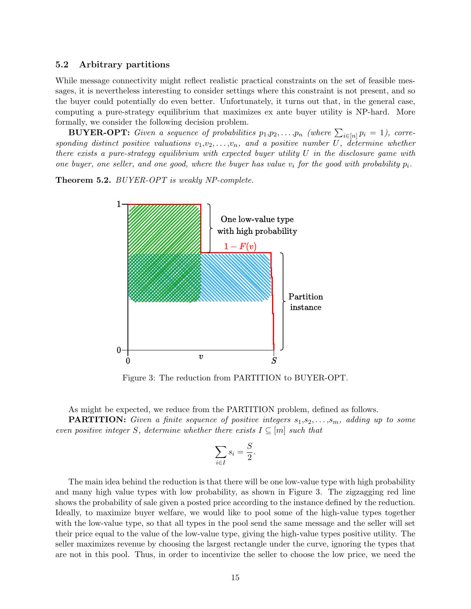#### 5.2 Arbitrary partitions

While message connectivity might reflect realistic practical constraints on the set of feasible messages, it is nevertheless interesting to consider settings where this constraint is not present, and so the buyer could potentially do even better. Unfortunately, it turns out that, in the general case, computing a pure-strategy equilibrium that maximizes ex ante buyer utility is NP-hard. More formally, we consider the following decision problem.

**BUYER-OPT:** Given a sequence of probabilities  $p_1, p_2, \ldots, p_n$  (where  $\sum_{i \in [n]} p_i = 1$ ), corresponding distinct positive valuations  $v_1,v_2,\ldots,v_n$ , and a positive number U, determine whether there exists a pure-strategy equilibrium with expected buyer utility U in the disclosure game with one buyer, one seller, and one good, where the buyer has value  $v_i$  for the good with probability  $p_i$ .

<span id="page-14-1"></span><span id="page-14-0"></span>Theorem 5.2. BUYER-OPT is weakly NP-complete.



Figure 3: The reduction from PARTITION to BUYER-OPT.

As might be expected, we reduce from the PARTITION problem, defined as follows. **PARTITION:** Given a finite sequence of positive integers  $s_1, s_2, \ldots, s_m$ , adding up to some even positive integer S, determine whether there exists  $I \subseteq [m]$  such that

$$
\sum_{i \in I} s_i = \frac{S}{2}.
$$

The main idea behind the reduction is that there will be one low-value type with high probability and many high value types with low probability, as shown in Figure [3.](#page-14-1) The zigzagging red line shows the probability of sale given a posted price according to the instance defined by the reduction. Ideally, to maximize buyer welfare, we would like to pool some of the high-value types together with the low-value type, so that all types in the pool send the same message and the seller will set their price equal to the value of the low-value type, giving the high-value types positive utility. The seller maximizes revenue by choosing the largest rectangle under the curve, ignoring the types that are not in this pool. Thus, in order to incentivize the seller to choose the low price, we need the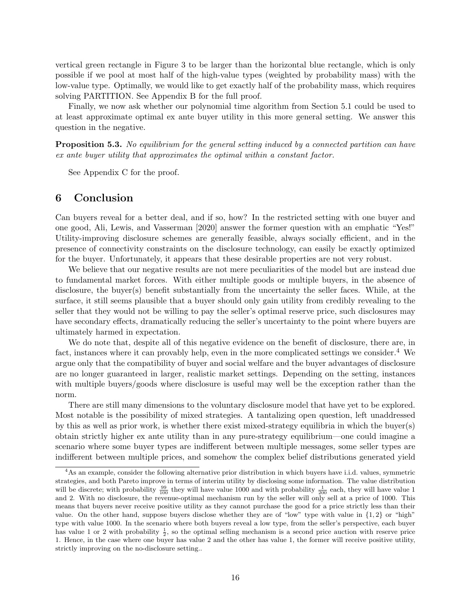vertical green rectangle in Figure [3](#page-14-1) to be larger than the horizontal blue rectangle, which is only possible if we pool at most half of the high-value types (weighted by probability mass) with the low-value type. Optimally, we would like to get exactly half of the probability mass, which requires solving PARTITION. See Appendix [B](#page-18-1) for the full proof.

Finally, we now ask whether our polynomial time algorithm from Section [5.1](#page-13-2) could be used to at least approximate optimal ex ante buyer utility in this more general setting. We answer this question in the negative.

<span id="page-15-0"></span>**Proposition 5.3.** No equilibrium for the general setting induced by a connected partition can have ex ante buyer utility that approximates the optimal within a constant factor.

See Appendix [C](#page-21-0) for the proof.

## 6 Conclusion

Can buyers reveal for a better deal, and if so, how? In the restricted setting with one buyer and one good, [Ali, Lewis, and Vasserman](#page-16-0) [\[2020\]](#page-16-0) answer the former question with an emphatic "Yes!" Utility-improving disclosure schemes are generally feasible, always socially efficient, and in the presence of connectivity constraints on the disclosure technology, can easily be exactly optimized for the buyer. Unfortunately, it appears that these desirable properties are not very robust.

We believe that our negative results are not mere peculiarities of the model but are instead due to fundamental market forces. With either multiple goods or multiple buyers, in the absence of disclosure, the buyer(s) benefit substantially from the uncertainty the seller faces. While, at the surface, it still seems plausible that a buyer should only gain utility from credibly revealing to the seller that they would not be willing to pay the seller's optimal reserve price, such disclosures may have secondary effects, dramatically reducing the seller's uncertainty to the point where buyers are ultimately harmed in expectation.

We do note that, despite all of this negative evidence on the benefit of disclosure, there are, in fact, instances where it can provably help, even in the more complicated settings we consider.<sup>[4](#page-15-1)</sup> We argue only that the compatibility of buyer and social welfare and the buyer advantages of disclosure are no longer guaranteed in larger, realistic market settings. Depending on the setting, instances with multiple buyers/goods where disclosure is useful may well be the exception rather than the norm.

There are still many dimensions to the voluntary disclosure model that have yet to be explored. Most notable is the possibility of mixed strategies. A tantalizing open question, left unaddressed by this as well as prior work, is whether there exist mixed-strategy equilibria in which the buyer(s) obtain strictly higher ex ante utility than in any pure-strategy equilibrium—one could imagine a scenario where some buyer types are indifferent between multiple messages, some seller types are indifferent between multiple prices, and somehow the complex belief distributions generated yield

<span id="page-15-1"></span><sup>4</sup>As an example, consider the following alternative prior distribution in which buyers have i.i.d. values, symmetric strategies, and both Pareto improve in terms of interim utility by disclosing some information. The value distribution will be discrete; with probability  $\frac{99}{100}$  they will have value 1000 and with probability  $\frac{1}{200}$  each, they will have value 1 and 2. With no disclosure, the revenue-optimal mechanism run by the seller will only sell at a price of 1000. This means that buyers never receive positive utility as they cannot purchase the good for a price strictly less than their value. On the other hand, suppose buyers disclose whether they are of "low" type with value in  $\{1, 2\}$  or "high" type with value 1000. In the scenario where both buyers reveal a low type, from the seller's perspective, each buyer has value 1 or 2 with probability  $\frac{1}{2}$ , so the optimal selling mechanism is a second price auction with reserve price 1. Hence, in the case where one buyer has value 2 and the other has value 1, the former will receive positive utility, strictly improving on the no-disclosure setting..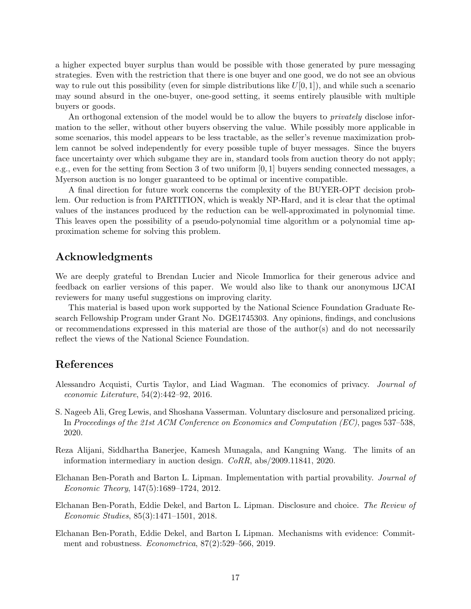a higher expected buyer surplus than would be possible with those generated by pure messaging strategies. Even with the restriction that there is one buyer and one good, we do not see an obvious way to rule out this possibility (even for simple distributions like  $U[0, 1]$ ), and while such a scenario may sound absurd in the one-buyer, one-good setting, it seems entirely plausible with multiple buyers or goods.

An orthogonal extension of the model would be to allow the buyers to *privately* disclose information to the seller, without other buyers observing the value. While possibly more applicable in some scenarios, this model appears to be less tractable, as the seller's revenue maximization problem cannot be solved independently for every possible tuple of buyer messages. Since the buyers face uncertainty over which subgame they are in, standard tools from auction theory do not apply; e.g., even for the setting from Section [3](#page-4-0) of two uniform [0, 1] buyers sending connected messages, a Myerson auction is no longer guaranteed to be optimal or incentive compatible.

A final direction for future work concerns the complexity of the BUYER-OPT decision problem. Our reduction is from PARTITION, which is weakly NP-Hard, and it is clear that the optimal values of the instances produced by the reduction can be well-approximated in polynomial time. This leaves open the possibility of a pseudo-polynomial time algorithm or a polynomial time approximation scheme for solving this problem.

## Acknowledgments

We are deeply grateful to Brendan Lucier and Nicole Immorlica for their generous advice and feedback on earlier versions of this paper. We would also like to thank our anonymous IJCAI reviewers for many useful suggestions on improving clarity.

This material is based upon work supported by the National Science Foundation Graduate Research Fellowship Program under Grant No. DGE1745303. Any opinions, findings, and conclusions or recommendations expressed in this material are those of the author(s) and do not necessarily reflect the views of the National Science Foundation.

# References

- <span id="page-16-1"></span>Alessandro Acquisti, Curtis Taylor, and Liad Wagman. The economics of privacy. Journal of economic Literature, 54(2):442–92, 2016.
- <span id="page-16-0"></span>S. Nageeb Ali, Greg Lewis, and Shoshana Vasserman. Voluntary disclosure and personalized pricing. In Proceedings of the 21st ACM Conference on Economics and Computation (EC), pages 537–538, 2020.
- <span id="page-16-5"></span>Reza Alijani, Siddhartha Banerjee, Kamesh Munagala, and Kangning Wang. The limits of an information intermediary in auction design. CoRR, abs/2009.11841, 2020.
- <span id="page-16-2"></span>Elchanan Ben-Porath and Barton L. Lipman. Implementation with partial provability. Journal of Economic Theory, 147(5):1689–1724, 2012.
- <span id="page-16-3"></span>Elchanan Ben-Porath, Eddie Dekel, and Barton L. Lipman. Disclosure and choice. The Review of Economic Studies, 85(3):1471–1501, 2018.
- <span id="page-16-4"></span>Elchanan Ben-Porath, Eddie Dekel, and Barton L Lipman. Mechanisms with evidence: Commitment and robustness. Econometrica, 87(2):529–566, 2019.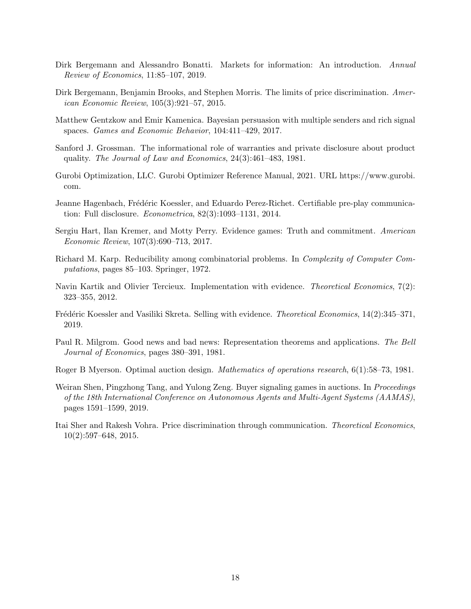- <span id="page-17-2"></span>Dirk Bergemann and Alessandro Bonatti. Markets for information: An introduction. Annual Review of Economics, 11:85–107, 2019.
- <span id="page-17-0"></span>Dirk Bergemann, Benjamin Brooks, and Stephen Morris. The limits of price discrimination. American Economic Review, 105(3):921–57, 2015.
- <span id="page-17-1"></span>Matthew Gentzkow and Emir Kamenica. Bayesian persuasion with multiple senders and rich signal spaces. Games and Economic Behavior, 104:411–429, 2017.
- <span id="page-17-3"></span>Sanford J. Grossman. The informational role of warranties and private disclosure about product quality. The Journal of Law and Economics, 24(3):461–483, 1981.
- <span id="page-17-12"></span>Gurobi Optimization, LLC. Gurobi Optimizer Reference Manual, 2021. URL [https://www.gurobi.](https://www.gurobi.com) [com.](https://www.gurobi.com)
- <span id="page-17-6"></span>Jeanne Hagenbach, Frédéric Koessler, and Eduardo Perez-Richet. Certifiable pre-play communication: Full disclosure. Econometrica, 82(3):1093–1131, 2014.
- <span id="page-17-7"></span>Sergiu Hart, Ilan Kremer, and Motty Perry. Evidence games: Truth and commitment. American Economic Review, 107(3):690–713, 2017.
- <span id="page-17-13"></span>Richard M. Karp. Reducibility among combinatorial problems. In Complexity of Computer Computations, pages 85–103. Springer, 1972.
- <span id="page-17-5"></span>Navin Kartik and Olivier Tercieux. Implementation with evidence. *Theoretical Economics*, 7(2): 323–355, 2012.
- <span id="page-17-8"></span>Frédéric Koessler and Vasiliki Skreta. Selling with evidence. *Theoretical Economics*, 14(2):345–371, 2019.
- <span id="page-17-4"></span>Paul R. Milgrom. Good news and bad news: Representation theorems and applications. The Bell Journal of Economics, pages 380–391, 1981.
- <span id="page-17-11"></span>Roger B Myerson. Optimal auction design. Mathematics of operations research, 6(1):58–73, 1981.
- <span id="page-17-10"></span>Weiran Shen, Pingzhong Tang, and Yulong Zeng. Buyer signaling games in auctions. In *Proceedings* of the 18th International Conference on Autonomous Agents and Multi-Agent Systems (AAMAS), pages 1591–1599, 2019.
- <span id="page-17-9"></span>Itai Sher and Rakesh Vohra. Price discrimination through communication. Theoretical Economics, 10(2):597–648, 2015.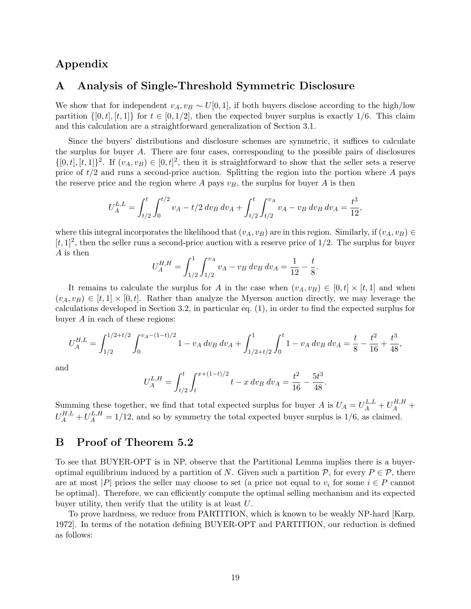# Appendix

## <span id="page-18-0"></span>A Analysis of Single-Threshold Symmetric Disclosure

We show that for independent  $v_A, v_B \sim U[0, 1]$ , if both buyers disclose according to the high/low partition  $\{[0, t], [t, 1]\}$  for  $t \in [0, 1/2]$ , then the expected buyer surplus is exactly 1/6. This claim and this calculation are a straightforward generalization of Section [3.1.](#page-4-5)

Since the buyers' distributions and disclosure schemes are symmetric, it suffices to calculate the surplus for buyer A. There are four cases, corresponding to the possible pairs of disclosures  $\{[0,t], [t,1]\}^2$ . If  $(v_A, v_B) \in [0,t]^2$ , then it is straightforward to show that the seller sets a reserve price of  $t/2$  and runs a second-price auction. Splitting the region into the portion where A pays the reserve price and the region where A pays  $v_B$ , the surplus for buyer A is then

$$
U_A^{L,L} = \int_{t/2}^t \int_0^{t/2} v_A - t/2 \, dv_B \, dv_A + \int_{t/2}^t \int_{t/2}^{v_A} v_A - v_B \, dv_B \, dv_A = \frac{t^3}{12},
$$

where this integral incorporates the likelihood that  $(v_A, v_B)$  are in this region. Similarly, if  $(v_A, v_B) \in$  $[t, 1]^2$ , then the seller runs a second-price auction with a reserve price of 1/2. The surplus for buyer A is then

$$
U_A^{H,H} = \int_{1/2}^1 \int_{1/2}^{v_A} v_A - v_B \, dv_B \, dv_A = \frac{1}{12} - \frac{t}{8}.
$$

It remains to calculate the surplus for A in the case when  $(v_A, v_B) \in [0, t] \times [t, 1]$  and when  $(v_A, v_B) \in [t, 1] \times [0, t]$ . Rather than analyze the Myerson auction directly, we may leverage the calculations developed in Section [3.2,](#page-6-0) in particular eq. [\(1\)](#page-7-0), in order to find the expected surplus for buyer A in each of these regions:

$$
U_A^{H,L} = \int_{1/2}^{1/2 + t/2} \int_0^{v_A - (1-t)/2} 1 - v_A \, dv_B \, dv_A + \int_{1/2 + t/2}^1 \int_0^t 1 - v_A \, dv_B \, dv_A = \frac{t}{8} - \frac{t^2}{16} + \frac{t^3}{48},
$$

and

$$
U_A^{L,H} = \int_{t/2}^t \int_t^{x+(1-t)/2} t - x \, dv_B \, dv_A = \frac{t^2}{16} - \frac{5t^3}{48}.
$$

Summing these together, we find that total expected surplus for buyer A is  $U_A = U_A^{L,L} + U_A^{H,H}$  +  $U_A^{H,L} + U_A^{L,H} = 1/12$ , and so by symmetry the total expected buyer surplus is 1/6, as claimed.

# <span id="page-18-1"></span>B Proof of Theorem [5.2](#page-14-0)

To see that BUYER-OPT is in NP, observe that the Partitional Lemma implies there is a buyeroptimal equilibrium induced by a partition of N. Given such a partition  $P$ , for every  $P \in \mathcal{P}$ , there are at most |P| prices the seller may choose to set (a price not equal to  $v_i$  for some  $i \in P$  cannot be optimal). Therefore, we can efficiently compute the optimal selling mechanism and its expected buyer utility, then verify that the utility is at least U.

To prove hardness, we reduce from PARTITION, which is known to be weakly NP-hard [\[Karp,](#page-17-13) [1972\]](#page-17-13). In terms of the notation defining BUYER-OPT and PARTITION, our reduction is defined as follows: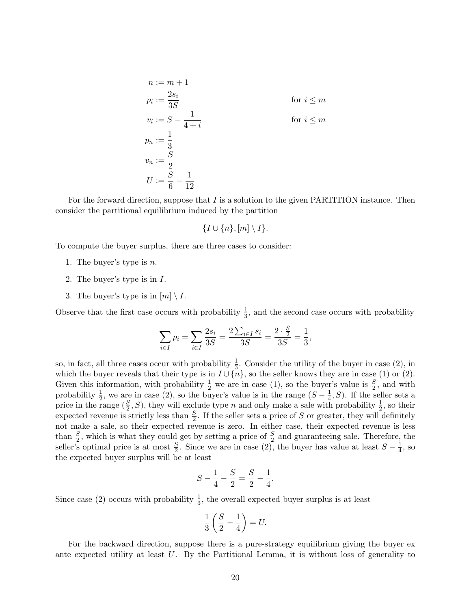$$
n := m + 1
$$
  
\n
$$
p_i := \frac{2s_i}{3S}
$$
 for  $i \le m$   
\n
$$
v_i := S - \frac{1}{4+i}
$$
 for  $i \le m$   
\n
$$
p_n := \frac{1}{3}
$$
  
\n
$$
v_n := \frac{S}{2}
$$
  
\n
$$
U := \frac{S}{6} - \frac{1}{12}
$$

For the forward direction, suppose that  $I$  is a solution to the given PARTITION instance. Then consider the partitional equilibrium induced by the partition

$$
\{I \cup \{n\}, [m] \setminus I\}.
$$

<span id="page-19-1"></span>To compute the buyer surplus, there are three cases to consider:

- 1. The buyer's type is  $n$ .
- <span id="page-19-0"></span>2. The buyer's type is in I.
- 3. The buyer's type is in  $[m] \setminus I$ .

Observe that the first case occurs with probability  $\frac{1}{3}$ , and the second case occurs with probability

$$
\sum_{i \in I} p_i = \sum_{i \in I} \frac{2s_i}{3S} = \frac{2 \sum_{i \in I} s_i}{3S} = \frac{2 \cdot \frac{S}{2}}{3S} = \frac{1}{3},
$$

so, in fact, all three cases occur with probability  $\frac{1}{3}$ . Consider the utility of the buyer in case [\(2\)](#page-19-0), in which the buyer reveals that their type is in  $I \cup \{n\}$ , so the seller knows they are in case [\(1\)](#page-19-1) or [\(2\)](#page-19-0). Given this information, with probability  $\frac{1}{2}$  we are in case [\(1\)](#page-19-1), so the buyer's value is  $\frac{S}{2}$ , and with probability  $\frac{1}{2}$ , we are in case [\(2\)](#page-19-0), so the buyer's value is in the range  $(S - \frac{1}{4})$  $(\frac{1}{4}, S)$ . If the seller sets a price in the range  $(\frac{S}{2}, S)$ , they will exclude type n and only make a sale with probability  $\frac{1}{2}$ , so their expected revenue is strictly less than  $\frac{S}{2}$ . If the seller sets a price of S or greater, they will definitely not make a sale, so their expected revenue is zero. In either case, their expected revenue is less than  $\frac{S}{2}$ , which is what they could get by setting a price of  $\frac{S}{2}$  and guaranteeing sale. Therefore, the seller's optimal price is at most  $\frac{S}{2}$ . Since we are in case [\(2\)](#page-19-0), the buyer has value at least  $S-\frac{1}{4}$  $\frac{1}{4}$ , so the expected buyer surplus will be at least

$$
S - \frac{1}{4} - \frac{S}{2} = \frac{S}{2} - \frac{1}{4}.
$$

Since case [\(2\)](#page-19-0) occurs with probability  $\frac{1}{3}$ , the overall expected buyer surplus is at least

$$
\frac{1}{3}\left(\frac{S}{2}-\frac{1}{4}\right) = U.
$$

For the backward direction, suppose there is a pure-strategy equilibrium giving the buyer ex ante expected utility at least  $U$ . By the Partitional Lemma, it is without loss of generality to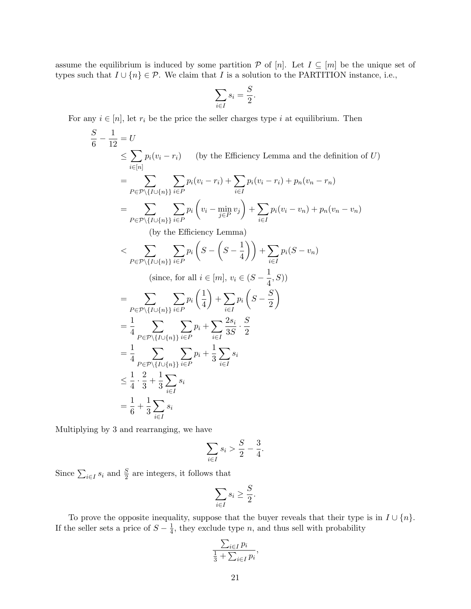assume the equilibrium is induced by some partition  $P$  of  $[n]$ . Let  $I \subseteq [m]$  be the unique set of types such that  $I \cup \{n\} \in \mathcal{P}$ . We claim that I is a solution to the PARTITION instance, i.e.,

$$
\sum_{i \in I} s_i = \frac{S}{2}.
$$

For any  $i \in [n]$ , let  $r_i$  be the price the seller charges type i at equilibrium. Then

$$
\frac{S}{6} - \frac{1}{12} = U
$$
\n
$$
\leq \sum_{i \in [n]} p_i(v_i - r_i) \quad \text{(by the Efficiency Lemma and the definition of } U)
$$
\n
$$
= \sum_{P \in \mathcal{P} \setminus \{I \cup \{n\}\}} \sum_{i \in P} p_i(v_i - r_i) + \sum_{i \in I} p_i(v_i - r_i) + p_n(v_n - r_n)
$$
\n
$$
= \sum_{P \in \mathcal{P} \setminus \{I \cup \{n\}\}} \sum_{i \in P} p_i(v_i - \min_{j \in P} v_j) + \sum_{i \in I} p_i(v_i - v_n) + p_n(v_n - v_n)
$$
\n(by the Efficiency Lemma)

\n
$$
< \sum_{P \in \mathcal{P} \setminus \{I \cup \{n\}\}} \sum_{i \in P} p_i \left(S - \left(S - \frac{1}{4}\right)\right) + \sum_{i \in I} p_i(S - v_n)
$$
\n(since, for all  $i \in [m], v_i \in (S - \frac{1}{4}, S)$ )

\n
$$
= \sum_{P \in \mathcal{P} \setminus \{I \cup \{n\}\}} \sum_{i \in P} p_i \left(\frac{1}{4}\right) + \sum_{i \in I} p_i \left(S - \frac{S}{2}\right)
$$
\n
$$
= \frac{1}{4} \sum_{P \in \mathcal{P} \setminus \{I \cup \{n\}\}} \sum_{i \in P} p_i + \sum_{i \in I} \frac{2s_i}{3S} \cdot \frac{S}{2}
$$
\n
$$
= \frac{1}{4} \sum_{P \in \mathcal{P} \setminus \{I \cup \{n\}\}} \sum_{i \in P} p_i + \frac{1}{3} \sum_{i \in I} s_i
$$
\n
$$
\leq \frac{1}{4} \cdot \frac{2}{3} + \frac{1}{3} \sum_{i \in I} s_i
$$
\n
$$
= \frac{1}{6} + \frac{1}{3} \sum_{i \in I} s_i
$$

Multiplying by 3 and rearranging, we have

$$
\sum_{i\in I}s_i > \frac{S}{2} - \frac{3}{4}.
$$

Since  $\sum_{i \in I} s_i$  and  $\frac{S}{2}$  are integers, it follows that

$$
\sum_{i \in I} s_i \ge \frac{S}{2}.
$$

To prove the opposite inequality, suppose that the buyer reveals that their type is in  $I \cup \{n\}$ . If the seller sets a price of  $S - \frac{1}{4}$  $\frac{1}{4}$ , they exclude type *n*, and thus sell with probability

$$
\frac{\sum_{i\in I} p_i}{\frac{1}{3} + \sum_{i\in I} p_i},
$$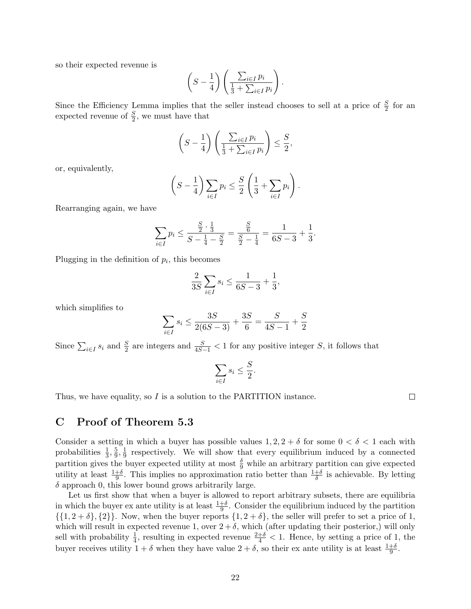so their expected revenue is

$$
\left(S-\frac{1}{4}\right)\left(\frac{\sum_{i\in I}p_i}{\frac{1}{3}+\sum_{i\in I}p_i}\right).
$$

Since the Efficiency Lemma implies that the seller instead chooses to sell at a price of  $\frac{S}{2}$  for an expected revenue of  $\frac{S}{2}$ , we must have that

$$
\left(S - \frac{1}{4}\right) \left(\frac{\sum_{i \in I} p_i}{\frac{1}{3} + \sum_{i \in I} p_i}\right) \leq \frac{S}{2},
$$

or, equivalently,

$$
\left(S - \frac{1}{4}\right) \sum_{i \in I} p_i \leq \frac{S}{2} \left(\frac{1}{3} + \sum_{i \in I} p_i\right).
$$

Rearranging again, we have

$$
\sum_{i \in I} p_i \le \frac{\frac{S}{2} \cdot \frac{1}{3}}{S - \frac{1}{4} - \frac{S}{2}} = \frac{\frac{S}{6}}{\frac{S}{2} - \frac{1}{4}} = \frac{1}{6S - 3} + \frac{1}{3}.
$$

Plugging in the definition of  $p_i$ , this becomes

$$
\frac{2}{3S} \sum_{i \in I} s_i \le \frac{1}{6S - 3} + \frac{1}{3},
$$

which simplifies to

$$
\sum_{i \in I} s_i \le \frac{3S}{2(6S-3)} + \frac{3S}{6} = \frac{S}{4S-1} + \frac{S}{2}
$$

Since  $\sum_{i\in I} s_i$  and  $\frac{S}{2}$  are integers and  $\frac{S}{4S-1}$  < 1 for any positive integer S, it follows that

$$
\sum_{i \in I} s_i \le \frac{S}{2}
$$

.

Thus, we have equality, so I is a solution to the PARTITION instance.

 $\Box$ 

### <span id="page-21-0"></span>C Proof of Theorem [5.3](#page-15-0)

Consider a setting in which a buyer has possible values  $1, 2, 2 + \delta$  for some  $0 < \delta < 1$  each with probabilities  $\frac{1}{3}, \frac{5}{9}$  $\frac{5}{9}, \frac{1}{9}$  $\frac{1}{9}$  respectively. We will show that every equilibrium induced by a connected partition gives the buyer expected utility at most  $\frac{\delta}{9}$  while an arbitrary partition can give expected utility at least  $\frac{1+\delta}{9}$ . This implies no approximation ratio better than  $\frac{1+\delta}{\delta}$  is achievable. By letting  $\delta$  approach 0, this lower bound grows arbitrarily large.

Let us first show that when a buyer is allowed to report arbitrary subsets, there are equilibria in which the buyer ex ante utility is at least  $\frac{1+\delta}{9}$ . Consider the equilibrium induced by the partition  $\{\{1, 2 + \delta\}, \{2\}\}\.$  Now, when the buyer reports  $\{1, 2 + \delta\}$ , the seller will prefer to set a price of 1, which will result in expected revenue 1, over  $2 + \delta$ , which (after updating their posterior,) will only sell with probability  $\frac{1}{4}$ , resulting in expected revenue  $\frac{2+\delta}{4} < 1$ . Hence, by setting a price of 1, the buyer receives utility  $1 + \delta$  when they have value  $2 + \delta$ , so their ex ante utility is at least  $\frac{1+\delta}{9}$ .